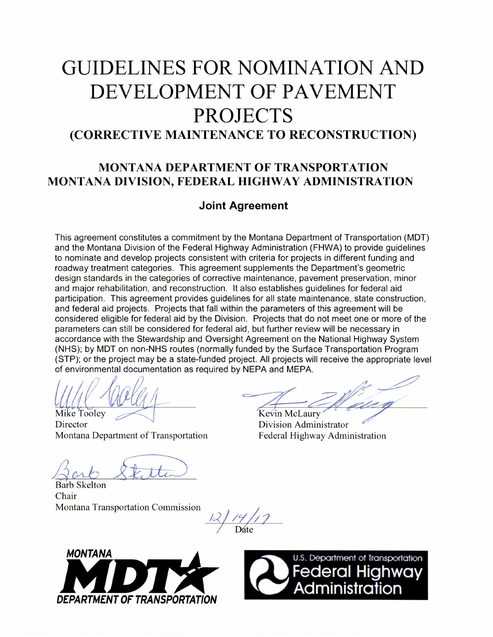# **GUIDELINES FOR NOMINATION AND DEVELOPMENT OF PAVEMENT PROJECTS (CORRECTIVE MAINTENANCE TO RECONSTRUCTION)**

# **MONTANA DEPARTMENT OF TRANSPORTATION MONTANA DIVISION, FEDERAL HIGHWAY ADMINISTRATION**

# **Joint Agreement**

This agreement constitutes a commitment by the Montana Department of Transportation (MDT) and the Montana Division of the Federal Highway Administration (FHWA) to provide guidelines to nominate and develop projects consistent with criteria for projects in different funding and roadway treatment categories. This agreement supplements the Department's geometric design standards in the categories of corrective maintenance, pavement preservation, minor and major rehabilitation, and reconstruction. It also establishes guidelines for federal aid participation. This agreement provides guidelines for all state maintenance, state construction, and federal aid projects. Projects that fall within the parameters of this agreement will be considered eligible for federal aid by the Division. Projects that do not meet one or more of the parameters can still be considered for federal aid, but further review will be necessary in accordance with the Stewardship and Oversight Agreement on the National Highway System (NHS); by MDT on non-NHS routes (normally funded by the Surface Transportation Program (STP); or the project may be a state-funded project. All projects will receive the appropriate level of environmental documentation as required by NEPA and MEPA.

(6( Mike Tooley

Director Montana Department of Transportation

Kevin McLaury

Division Administrator Federal Highway Administration

Barb Skelton Chair Montana Transportation Commission

Date



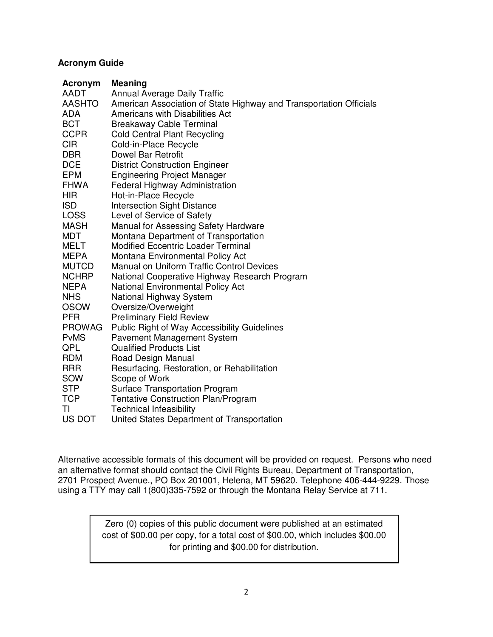## **Acronym Guide**

| Acronym       | <b>Meaning</b>                                                     |
|---------------|--------------------------------------------------------------------|
| <b>AADT</b>   | <b>Annual Average Daily Traffic</b>                                |
| <b>AASHTO</b> | American Association of State Highway and Transportation Officials |
| ADA           | Americans with Disabilities Act                                    |
| <b>BCT</b>    | <b>Breakaway Cable Terminal</b>                                    |
| <b>CCPR</b>   | <b>Cold Central Plant Recycling</b>                                |
| <b>CIR</b>    | Cold-in-Place Recycle                                              |
| <b>DBR</b>    | Dowel Bar Retrofit                                                 |
| <b>DCE</b>    | <b>District Construction Engineer</b>                              |
| <b>EPM</b>    | <b>Engineering Project Manager</b>                                 |
| <b>FHWA</b>   | Federal Highway Administration                                     |
| <b>HIR</b>    | Hot-in-Place Recycle                                               |
| <b>ISD</b>    | <b>Intersection Sight Distance</b>                                 |
| <b>LOSS</b>   | Level of Service of Safety                                         |
| <b>MASH</b>   | Manual for Assessing Safety Hardware                               |
| <b>MDT</b>    | Montana Department of Transportation                               |
| <b>MELT</b>   | <b>Modified Eccentric Loader Terminal</b>                          |
| <b>MEPA</b>   | Montana Environmental Policy Act                                   |
| <b>MUTCD</b>  | <b>Manual on Uniform Traffic Control Devices</b>                   |
| <b>NCHRP</b>  | National Cooperative Highway Research Program                      |
| <b>NEPA</b>   | <b>National Environmental Policy Act</b>                           |
| <b>NHS</b>    | <b>National Highway System</b>                                     |
| <b>OSOW</b>   | Oversize/Overweight                                                |
| <b>PFR</b>    | <b>Preliminary Field Review</b>                                    |
| <b>PROWAG</b> | <b>Public Right of Way Accessibility Guidelines</b>                |
| <b>PvMS</b>   | <b>Pavement Management System</b>                                  |
| QPL           | <b>Qualified Products List</b>                                     |
| <b>RDM</b>    | Road Design Manual                                                 |
| <b>RRR</b>    | Resurfacing, Restoration, or Rehabilitation                        |
| SOW           | Scope of Work                                                      |
| <b>STP</b>    | <b>Surface Transportation Program</b>                              |
| <b>TCP</b>    | <b>Tentative Construction Plan/Program</b>                         |
| ΤI            | <b>Technical Infeasibility</b>                                     |
| US DOT        | United States Department of Transportation                         |

Alternative accessible formats of this document will be provided on request. Persons who need an alternative format should contact the Civil Rights Bureau, Department of Transportation, 2701 Prospect Avenue., PO Box 201001, Helena, MT 59620. Telephone 406-444-9229. Those using a TTY may call 1(800)335-7592 or through the Montana Relay Service at 711.

> Zero (0) copies of this public document were published at an estimated cost of \$00.00 per copy, for a total cost of \$00.00, which includes \$00.00 for printing and \$00.00 for distribution.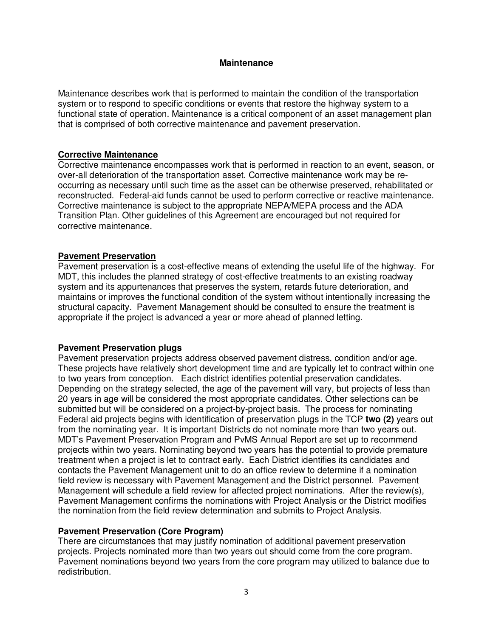#### **Maintenance**

Maintenance describes work that is performed to maintain the condition of the transportation system or to respond to specific conditions or events that restore the highway system to a functional state of operation. Maintenance is a critical component of an asset management plan that is comprised of both corrective maintenance and pavement preservation.

#### **Corrective Maintenance**

Corrective maintenance encompasses work that is performed in reaction to an event, season, or over-all deterioration of the transportation asset. Corrective maintenance work may be reoccurring as necessary until such time as the asset can be otherwise preserved, rehabilitated or reconstructed. Federal-aid funds cannot be used to perform corrective or reactive maintenance. Corrective maintenance is subject to the appropriate NEPA/MEPA process and the ADA Transition Plan. Other guidelines of this Agreement are encouraged but not required for corrective maintenance.

#### **Pavement Preservation**

Pavement preservation is a cost-effective means of extending the useful life of the highway. For MDT, this includes the planned strategy of cost-effective treatments to an existing roadway system and its appurtenances that preserves the system, retards future deterioration, and maintains or improves the functional condition of the system without intentionally increasing the structural capacity. Pavement Management should be consulted to ensure the treatment is appropriate if the project is advanced a year or more ahead of planned letting.

#### **Pavement Preservation plugs**

Pavement preservation projects address observed pavement distress, condition and/or age. These projects have relatively short development time and are typically let to contract within one to two years from conception. Each district identifies potential preservation candidates. Depending on the strategy selected, the age of the pavement will vary, but projects of less than 20 years in age will be considered the most appropriate candidates. Other selections can be submitted but will be considered on a project-by-project basis. The process for nominating Federal aid projects begins with identification of preservation plugs in the TCP **two (2)** years out from the nominating year. It is important Districts do not nominate more than two years out. MDT's Pavement Preservation Program and PvMS Annual Report are set up to recommend projects within two years. Nominating beyond two years has the potential to provide premature treatment when a project is let to contract early. Each District identifies its candidates and contacts the Pavement Management unit to do an office review to determine if a nomination field review is necessary with Pavement Management and the District personnel. Pavement Management will schedule a field review for affected project nominations. After the review(s), Pavement Management confirms the nominations with Project Analysis or the District modifies the nomination from the field review determination and submits to Project Analysis.

#### **Pavement Preservation (Core Program)**

There are circumstances that may justify nomination of additional pavement preservation projects. Projects nominated more than two years out should come from the core program. Pavement nominations beyond two years from the core program may utilized to balance due to redistribution.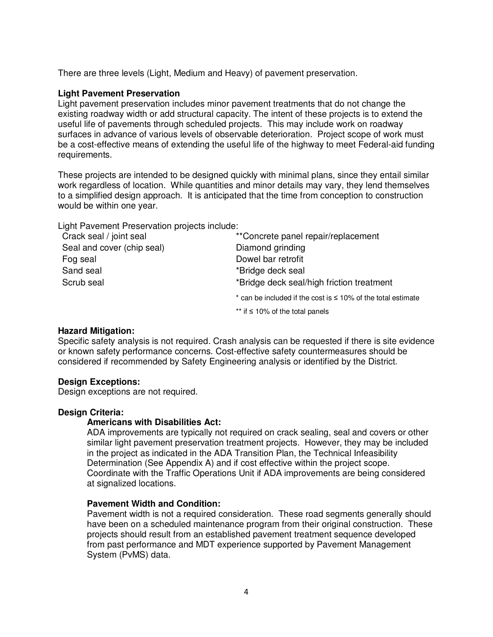There are three levels (Light, Medium and Heavy) of pavement preservation.

#### **Light Pavement Preservation**

Light pavement preservation includes minor pavement treatments that do not change the existing roadway width or add structural capacity. The intent of these projects is to extend the useful life of pavements through scheduled projects. This may include work on roadway surfaces in advance of various levels of observable deterioration. Project scope of work must be a cost-effective means of extending the useful life of the highway to meet Federal-aid funding requirements.

These projects are intended to be designed quickly with minimal plans, since they entail similar work regardless of location. While quantities and minor details may vary, they lend themselves to a simplified design approach. It is anticipated that the time from conception to construction would be within one year.

Light Pavement Preservation projects include:

| Crack seal / joint seal    | **Concrete panel repair/replacement                                  |
|----------------------------|----------------------------------------------------------------------|
| Seal and cover (chip seal) | Diamond grinding                                                     |
| Fog seal                   | Dowel bar retrofit                                                   |
| Sand seal                  | *Bridge deck seal                                                    |
| Scrub seal                 | *Bridge deck seal/high friction treatment                            |
|                            | $*$ can be included if the cost is $\leq 10\%$ of the total estimate |
|                            | ** if $\leq 10\%$ of the total panels                                |

#### **Hazard Mitigation:**

Specific safety analysis is not required. Crash analysis can be requested if there is site evidence or known safety performance concerns. Cost-effective safety countermeasures should be considered if recommended by Safety Engineering analysis or identified by the District.

## **Design Exceptions:**

Design exceptions are not required.

#### **Design Criteria:**

#### **Americans with Disabilities Act:**

ADA improvements are typically not required on crack sealing, seal and covers or other similar light pavement preservation treatment projects. However, they may be included in the project as indicated in the ADA Transition Plan, the Technical Infeasibility Determination (See Appendix A) and if cost effective within the project scope. Coordinate with the Traffic Operations Unit if ADA improvements are being considered at signalized locations.

#### **Pavement Width and Condition:**

Pavement width is not a required consideration. These road segments generally should have been on a scheduled maintenance program from their original construction. These projects should result from an established pavement treatment sequence developed from past performance and MDT experience supported by Pavement Management System (PvMS) data.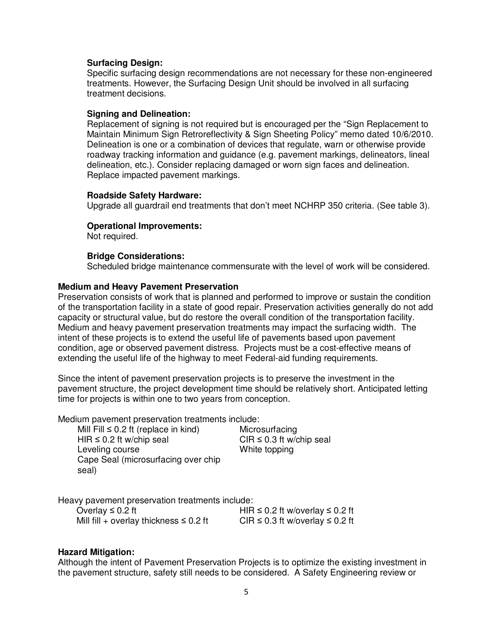#### **Surfacing Design:**

Specific surfacing design recommendations are not necessary for these non-engineered treatments. However, the Surfacing Design Unit should be involved in all surfacing treatment decisions.

#### **Signing and Delineation:**

Replacement of signing is not required but is encouraged per the "Sign Replacement to Maintain Minimum Sign Retroreflectivity & Sign Sheeting Policy" memo dated 10/6/2010. Delineation is one or a combination of devices that regulate, warn or otherwise provide roadway tracking information and guidance (e.g. pavement markings, delineators, lineal delineation, etc.). Consider replacing damaged or worn sign faces and delineation. Replace impacted pavement markings.

#### **Roadside Safety Hardware:**

Upgrade all guardrail end treatments that don't meet NCHRP 350 criteria. (See table 3).

#### **Operational Improvements:**

Not required.

#### **Bridge Considerations:**

Scheduled bridge maintenance commensurate with the level of work will be considered.

#### **Medium and Heavy Pavement Preservation**

Preservation consists of work that is planned and performed to improve or sustain the condition of the transportation facility in a state of good repair. Preservation activities generally do not add capacity or structural value, but do restore the overall condition of the transportation facility. Medium and heavy pavement preservation treatments may impact the surfacing width. The intent of these projects is to extend the useful life of pavements based upon pavement condition, age or observed pavement distress. Projects must be a cost-effective means of extending the useful life of the highway to meet Federal-aid funding requirements.

Since the intent of pavement preservation projects is to preserve the investment in the pavement structure, the project development time should be relatively short. Anticipated letting time for projects is within one to two years from conception.

Medium pavement preservation treatments include:

| Mill Fill $\leq 0.2$ ft (replace in kind) |
|-------------------------------------------|
| HIR $\leq$ 0.2 ft w/chip seal             |
| Leveling course                           |
| Cape Seal (microsurfacing over chip       |
| seal)                                     |

Microsurfacing  $CIR \leq 0.3$  ft w/chip seal White topping

Heavy pavement preservation treatments include:

| Overlay $\leq 0.2$ ft                       | HIR $\leq$ 0.2 ft w/overlay $\leq$ 0.2 ft |
|---------------------------------------------|-------------------------------------------|
| Mill fill + overlay thickness $\leq 0.2$ ft | CIR $\leq$ 0.3 ft w/overlay $\leq$ 0.2 ft |

#### **Hazard Mitigation:**

Although the intent of Pavement Preservation Projects is to optimize the existing investment in the pavement structure, safety still needs to be considered. A Safety Engineering review or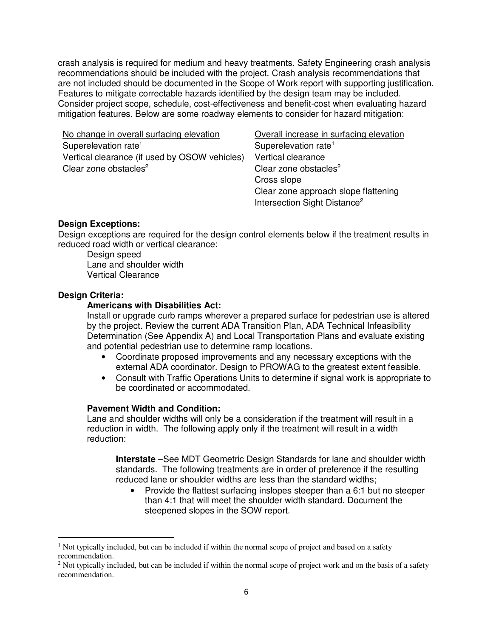crash analysis is required for medium and heavy treatments. Safety Engineering crash analysis recommendations should be included with the project. Crash analysis recommendations that are not included should be documented in the Scope of Work report with supporting justification. Features to mitigate correctable hazards identified by the design team may be included. Consider project scope, schedule, cost-effectiveness and benefit-cost when evaluating hazard mitigation features. Below are some roadway elements to consider for hazard mitigation:

No change in overall surfacing elevation **Overall increase in surfacing elevation** Superelevation rate<sup>1</sup> Superelevation rate<sup>1</sup> Vertical clearance (if used by OSOW vehicles) Vertical clearance Clear zone obstacles<sup>2</sup>

Clear zone obstacles<sup>2</sup> Cross slope Clear zone approach slope flattening Intersection Sight Distance<sup>2</sup>

#### **Design Exceptions:**

Design exceptions are required for the design control elements below if the treatment results in reduced road width or vertical clearance:

Design speed Lane and shoulder width Vertical Clearance

#### **Design Criteria:**

l

## **Americans with Disabilities Act:**

Install or upgrade curb ramps wherever a prepared surface for pedestrian use is altered by the project. Review the current ADA Transition Plan, ADA Technical Infeasibility Determination (See Appendix A) and Local Transportation Plans and evaluate existing and potential pedestrian use to determine ramp locations.

- Coordinate proposed improvements and any necessary exceptions with the external ADA coordinator. Design to PROWAG to the greatest extent feasible.
- Consult with Traffic Operations Units to determine if signal work is appropriate to be coordinated or accommodated.

#### **Pavement Width and Condition:**

Lane and shoulder widths will only be a consideration if the treatment will result in a reduction in width. The following apply only if the treatment will result in a width reduction:

**Interstate** –See MDT Geometric Design Standards for lane and shoulder width standards. The following treatments are in order of preference if the resulting reduced lane or shoulder widths are less than the standard widths;

• Provide the flattest surfacing inslopes steeper than a 6:1 but no steeper than 4:1 that will meet the shoulder width standard. Document the steepened slopes in the SOW report.

<sup>&</sup>lt;sup>1</sup> Not typically included, but can be included if within the normal scope of project and based on a safety recommendation.

 $2$  Not typically included, but can be included if within the normal scope of project work and on the basis of a safety recommendation.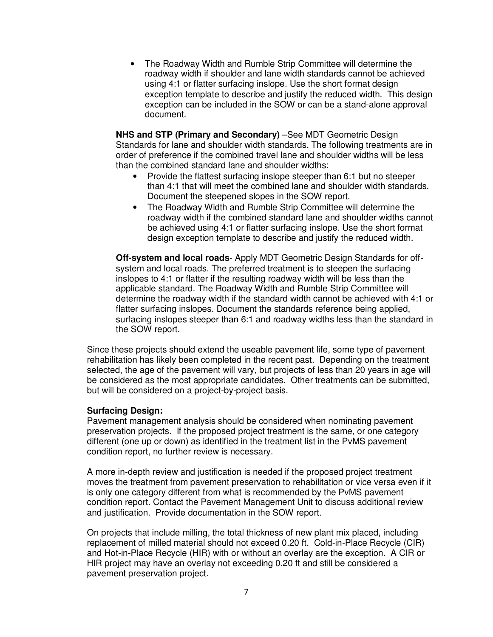• The Roadway Width and Rumble Strip Committee will determine the roadway width if shoulder and lane width standards cannot be achieved using 4:1 or flatter surfacing inslope. Use the short format design exception template to describe and justify the reduced width. This design exception can be included in the SOW or can be a stand-alone approval document.

**NHS and STP (Primary and Secondary)** –See MDT Geometric Design Standards for lane and shoulder width standards. The following treatments are in order of preference if the combined travel lane and shoulder widths will be less than the combined standard lane and shoulder widths:

- Provide the flattest surfacing inslope steeper than 6:1 but no steeper than 4:1 that will meet the combined lane and shoulder width standards. Document the steepened slopes in the SOW report.
- The Roadway Width and Rumble Strip Committee will determine the roadway width if the combined standard lane and shoulder widths cannot be achieved using 4:1 or flatter surfacing inslope. Use the short format design exception template to describe and justify the reduced width.

**Off-system and local roads**- Apply MDT Geometric Design Standards for offsystem and local roads. The preferred treatment is to steepen the surfacing inslopes to 4:1 or flatter if the resulting roadway width will be less than the applicable standard. The Roadway Width and Rumble Strip Committee will determine the roadway width if the standard width cannot be achieved with 4:1 or flatter surfacing inslopes. Document the standards reference being applied, surfacing inslopes steeper than 6:1 and roadway widths less than the standard in the SOW report.

Since these projects should extend the useable pavement life, some type of pavement rehabilitation has likely been completed in the recent past. Depending on the treatment selected, the age of the pavement will vary, but projects of less than 20 years in age will be considered as the most appropriate candidates. Other treatments can be submitted, but will be considered on a project-by-project basis.

#### **Surfacing Design:**

Pavement management analysis should be considered when nominating pavement preservation projects. If the proposed project treatment is the same, or one category different (one up or down) as identified in the treatment list in the PvMS pavement condition report, no further review is necessary.

A more in-depth review and justification is needed if the proposed project treatment moves the treatment from pavement preservation to rehabilitation or vice versa even if it is only one category different from what is recommended by the PvMS pavement condition report. Contact the Pavement Management Unit to discuss additional review and justification. Provide documentation in the SOW report.

On projects that include milling, the total thickness of new plant mix placed, including replacement of milled material should not exceed 0.20 ft. Cold-in-Place Recycle (CIR) and Hot-in-Place Recycle (HIR) with or without an overlay are the exception. A CIR or HIR project may have an overlay not exceeding 0.20 ft and still be considered a pavement preservation project.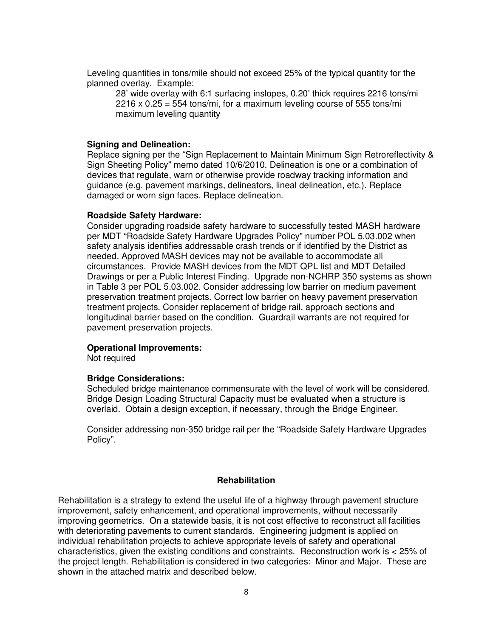Leveling quantities in tons/mile should not exceed 25% of the typical quantity for the planned overlay. Example:

28' wide overlay with 6:1 surfacing inslopes, 0.20' thick requires 2216 tons/mi  $2216 \times 0.25 = 554$  tons/mi, for a maximum leveling course of 555 tons/mi maximum leveling quantity

#### **Signing and Delineation:**

Replace signing per the "Sign Replacement to Maintain Minimum Sign Retroreflectivity & Sign Sheeting Policy" memo dated 10/6/2010. Delineation is one or a combination of devices that regulate, warn or otherwise provide roadway tracking information and guidance (e.g. pavement markings, delineators, lineal delineation, etc.). Replace damaged or worn sign faces. Replace delineation.

#### **Roadside Safety Hardware:**

Consider upgrading roadside safety hardware to successfully tested MASH hardware per MDT "Roadside Safety Hardware Upgrades Policy" number POL 5.03.002 when safety analysis identifies addressable crash trends or if identified by the District as needed. Approved MASH devices may not be available to accommodate all circumstances. Provide MASH devices from the MDT QPL list and MDT Detailed Drawings or per a Public Interest Finding. Upgrade non-NCHRP 350 systems as shown in Table 3 per POL 5.03.002. Consider addressing low barrier on medium pavement preservation treatment projects. Correct low barrier on heavy pavement preservation treatment projects. Consider replacement of bridge rail, approach sections and longitudinal barrier based on the condition. Guardrail warrants are not required for pavement preservation projects.

#### **Operational Improvements:**

Not required

#### **Bridge Considerations:**

Scheduled bridge maintenance commensurate with the level of work will be considered. Bridge Design Loading Structural Capacity must be evaluated when a structure is overlaid. Obtain a design exception, if necessary, through the Bridge Engineer.

Consider addressing non-350 bridge rail per the "Roadside Safety Hardware Upgrades Policy".

#### **Rehabilitation**

Rehabilitation is a strategy to extend the useful life of a highway through pavement structure improvement, safety enhancement, and operational improvements, without necessarily improving geometrics. On a statewide basis, it is not cost effective to reconstruct all facilities with deteriorating pavements to current standards. Engineering judgment is applied on individual rehabilitation projects to achieve appropriate levels of safety and operational characteristics, given the existing conditions and constraints. Reconstruction work is < 25% of the project length. Rehabilitation is considered in two categories: Minor and Major. These are shown in the attached matrix and described below.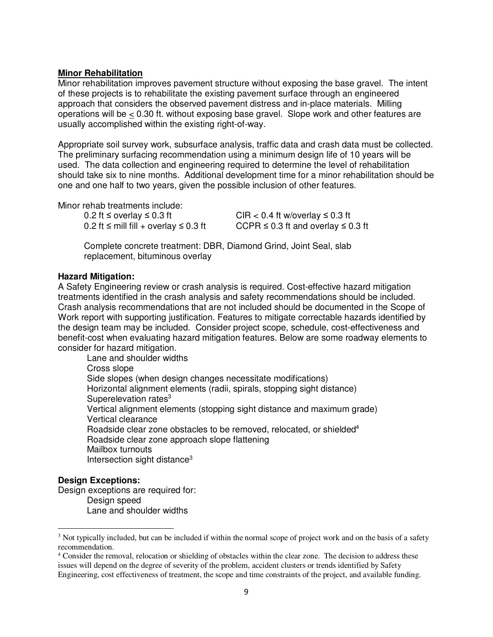#### **Minor Rehabilitation**

Minor rehabilitation improves pavement structure without exposing the base gravel. The intent of these projects is to rehabilitate the existing pavement surface through an engineered approach that considers the observed pavement distress and in-place materials. Milling operations will be  $< 0.30$  ft. without exposing base gravel. Slope work and other features are usually accomplished within the existing right-of-way.

Appropriate soil survey work, subsurface analysis, traffic data and crash data must be collected. The preliminary surfacing recommendation using a minimum design life of 10 years will be used. The data collection and engineering required to determine the level of rehabilitation should take six to nine months. Additional development time for a minor rehabilitation should be one and one half to two years, given the possible inclusion of other features.

Minor rehab treatments include:

 $0.2$  ft  $\le$  overlay  $\le$  0.3 ft CIR  $<$  0.4 ft w/overlay  $\le$  0.3 ft

0.2 ft ≤ mill fill + overlay ≤ 0.3 ft CCPR ≤ 0.3 ft and overlay ≤ 0.3 ft

Complete concrete treatment: DBR, Diamond Grind, Joint Seal, slab replacement, bituminous overlay

## **Hazard Mitigation:**

A Safety Engineering review or crash analysis is required. Cost-effective hazard mitigation treatments identified in the crash analysis and safety recommendations should be included. Crash analysis recommendations that are not included should be documented in the Scope of Work report with supporting justification. Features to mitigate correctable hazards identified by the design team may be included. Consider project scope, schedule, cost-effectiveness and benefit-cost when evaluating hazard mitigation features. Below are some roadway elements to consider for hazard mitigation.

Lane and shoulder widths Cross slope Side slopes (when design changes necessitate modifications) Horizontal alignment elements (radii, spirals, stopping sight distance) Superelevation rates<sup>3</sup> Vertical alignment elements (stopping sight distance and maximum grade) Vertical clearance Roadside clear zone obstacles to be removed, relocated, or shielded<sup>4</sup> Roadside clear zone approach slope flattening Mailbox turnouts Intersection sight distance<sup>3</sup>

## **Design Exceptions:**

 $\overline{a}$ 

Design exceptions are required for: Design speed Lane and shoulder widths

<sup>&</sup>lt;sup>3</sup> Not typically included, but can be included if within the normal scope of project work and on the basis of a safety recommendation.

<sup>&</sup>lt;sup>4</sup> Consider the removal, relocation or shielding of obstacles within the clear zone. The decision to address these issues will depend on the degree of severity of the problem, accident clusters or trends identified by Safety Engineering, cost effectiveness of treatment, the scope and time constraints of the project, and available funding.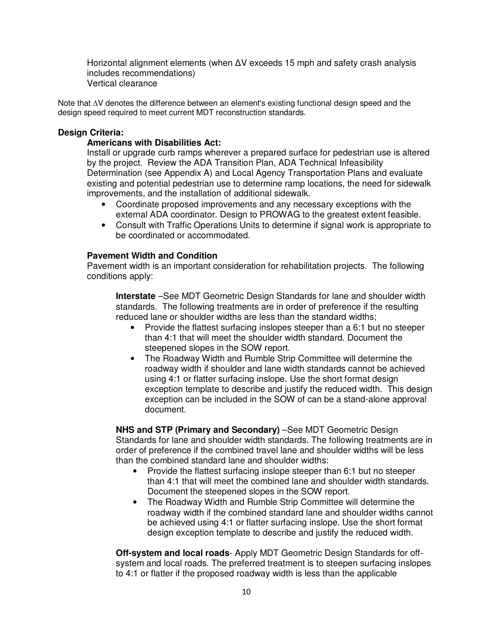Horizontal alignment elements (when ∆V exceeds 15 mph and safety crash analysis includes recommendations) Vertical clearance

Note that ∆V denotes the difference between an element's existing functional design speed and the design speed required to meet current MDT reconstruction standards.

#### **Design Criteria:**

#### **Americans with Disabilities Act:**

Install or upgrade curb ramps wherever a prepared surface for pedestrian use is altered by the project. Review the ADA Transition Plan, ADA Technical Infeasibility Determination (see Appendix A) and Local Agency Transportation Plans and evaluate existing and potential pedestrian use to determine ramp locations, the need for sidewalk improvements, and the installation of additional sidewalk.

- Coordinate proposed improvements and any necessary exceptions with the external ADA coordinator. Design to PROWAG to the greatest extent feasible.
- Consult with Traffic Operations Units to determine if signal work is appropriate to be coordinated or accommodated.

#### **Pavement Width and Condition**

Pavement width is an important consideration for rehabilitation projects. The following conditions apply:

**Interstate** –See MDT Geometric Design Standards for lane and shoulder width standards. The following treatments are in order of preference if the resulting reduced lane or shoulder widths are less than the standard widths;

- Provide the flattest surfacing inslopes steeper than a 6:1 but no steeper than 4:1 that will meet the shoulder width standard. Document the steepened slopes in the SOW report.
- The Roadway Width and Rumble Strip Committee will determine the roadway width if shoulder and lane width standards cannot be achieved using 4:1 or flatter surfacing inslope. Use the short format design exception template to describe and justify the reduced width. This design exception can be included in the SOW of can be a stand-alone approval document.

**NHS and STP (Primary and Secondary)** –See MDT Geometric Design Standards for lane and shoulder width standards. The following treatments are in order of preference if the combined travel lane and shoulder widths will be less than the combined standard lane and shoulder widths:

- Provide the flattest surfacing inslope steeper than 6:1 but no steeper than 4:1 that will meet the combined lane and shoulder width standards. Document the steepened slopes in the SOW report.
- The Roadway Width and Rumble Strip Committee will determine the roadway width if the combined standard lane and shoulder widths cannot be achieved using 4:1 or flatter surfacing inslope. Use the short format design exception template to describe and justify the reduced width.

**Off-system and local roads**- Apply MDT Geometric Design Standards for offsystem and local roads. The preferred treatment is to steepen surfacing inslopes to 4:1 or flatter if the proposed roadway width is less than the applicable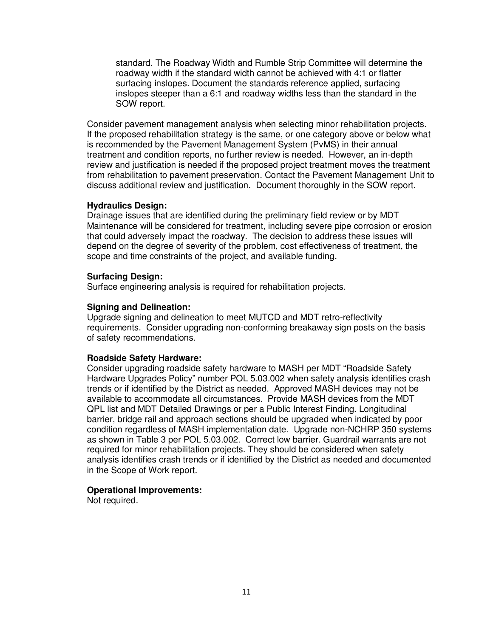standard. The Roadway Width and Rumble Strip Committee will determine the roadway width if the standard width cannot be achieved with 4:1 or flatter surfacing inslopes. Document the standards reference applied, surfacing inslopes steeper than a 6:1 and roadway widths less than the standard in the SOW report.

Consider pavement management analysis when selecting minor rehabilitation projects. If the proposed rehabilitation strategy is the same, or one category above or below what is recommended by the Pavement Management System (PvMS) in their annual treatment and condition reports, no further review is needed. However, an in-depth review and justification is needed if the proposed project treatment moves the treatment from rehabilitation to pavement preservation. Contact the Pavement Management Unit to discuss additional review and justification. Document thoroughly in the SOW report.

#### **Hydraulics Design:**

Drainage issues that are identified during the preliminary field review or by MDT Maintenance will be considered for treatment, including severe pipe corrosion or erosion that could adversely impact the roadway. The decision to address these issues will depend on the degree of severity of the problem, cost effectiveness of treatment, the scope and time constraints of the project, and available funding.

#### **Surfacing Design:**

Surface engineering analysis is required for rehabilitation projects.

#### **Signing and Delineation:**

Upgrade signing and delineation to meet MUTCD and MDT retro-reflectivity requirements. Consider upgrading non-conforming breakaway sign posts on the basis of safety recommendations.

#### **Roadside Safety Hardware:**

Consider upgrading roadside safety hardware to MASH per MDT "Roadside Safety Hardware Upgrades Policy" number POL 5.03.002 when safety analysis identifies crash trends or if identified by the District as needed. Approved MASH devices may not be available to accommodate all circumstances. Provide MASH devices from the MDT QPL list and MDT Detailed Drawings or per a Public Interest Finding. Longitudinal barrier, bridge rail and approach sections should be upgraded when indicated by poor condition regardless of MASH implementation date. Upgrade non-NCHRP 350 systems as shown in Table 3 per POL 5.03.002. Correct low barrier. Guardrail warrants are not required for minor rehabilitation projects. They should be considered when safety analysis identifies crash trends or if identified by the District as needed and documented in the Scope of Work report.

#### **Operational Improvements:**

Not required.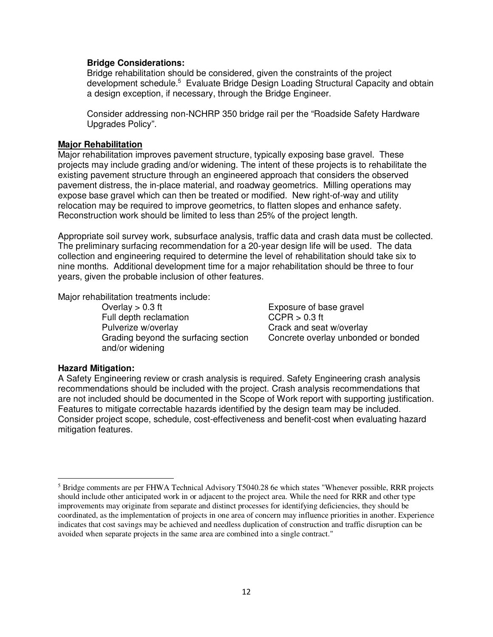#### **Bridge Considerations:**

Bridge rehabilitation should be considered, given the constraints of the project development schedule.<sup>5</sup> Evaluate Bridge Design Loading Structural Capacity and obtain a design exception, if necessary, through the Bridge Engineer.

Consider addressing non-NCHRP 350 bridge rail per the "Roadside Safety Hardware Upgrades Policy".

### **Major Rehabilitation**

Major rehabilitation improves pavement structure, typically exposing base gravel. These projects may include grading and/or widening. The intent of these projects is to rehabilitate the existing pavement structure through an engineered approach that considers the observed pavement distress, the in-place material, and roadway geometrics. Milling operations may expose base gravel which can then be treated or modified. New right-of-way and utility relocation may be required to improve geometrics, to flatten slopes and enhance safety. Reconstruction work should be limited to less than 25% of the project length.

Appropriate soil survey work, subsurface analysis, traffic data and crash data must be collected. The preliminary surfacing recommendation for a 20-year design life will be used. The data collection and engineering required to determine the level of rehabilitation should take six to nine months. Additional development time for a major rehabilitation should be three to four years, given the probable inclusion of other features.

Major rehabilitation treatments include:

Overlay > 0.3 ft Exposure of base gravel Full depth reclamation CCPR > 0.3 ft Pulverize w/overlay example of the Crack and seat w/overlay Grading beyond the surfacing section and/or widening

Concrete overlay unbonded or bonded

## **Hazard Mitigation:**

 $\overline{a}$ 

A Safety Engineering review or crash analysis is required. Safety Engineering crash analysis recommendations should be included with the project. Crash analysis recommendations that are not included should be documented in the Scope of Work report with supporting justification. Features to mitigate correctable hazards identified by the design team may be included. Consider project scope, schedule, cost-effectiveness and benefit-cost when evaluating hazard mitigation features.

<sup>&</sup>lt;sup>5</sup> Bridge comments are per FHWA Technical Advisory T5040.28 6e which states "Whenever possible, RRR projects should include other anticipated work in or adjacent to the project area. While the need for RRR and other type improvements may originate from separate and distinct processes for identifying deficiencies, they should be coordinated, as the implementation of projects in one area of concern may influence priorities in another. Experience indicates that cost savings may be achieved and needless duplication of construction and traffic disruption can be avoided when separate projects in the same area are combined into a single contract."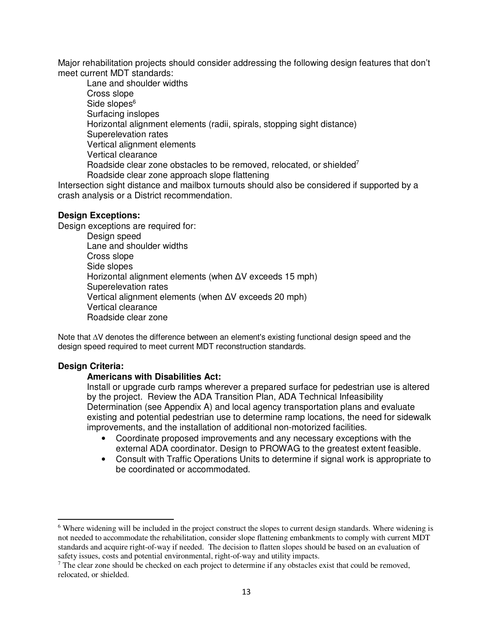Major rehabilitation projects should consider addressing the following design features that don't meet current MDT standards:

Lane and shoulder widths Cross slope Side slopes $^6$ Surfacing inslopes Horizontal alignment elements (radii, spirals, stopping sight distance) Superelevation rates Vertical alignment elements Vertical clearance Roadside clear zone obstacles to be removed, relocated, or shielded<sup>7</sup> Roadside clear zone approach slope flattening

Intersection sight distance and mailbox turnouts should also be considered if supported by a crash analysis or a District recommendation.

#### **Design Exceptions:**

Design exceptions are required for:

Design speed Lane and shoulder widths Cross slope Side slopes Horizontal alignment elements (when ∆V exceeds 15 mph) Superelevation rates Vertical alignment elements (when ∆V exceeds 20 mph) Vertical clearance Roadside clear zone

Note that ∆V denotes the difference between an element's existing functional design speed and the design speed required to meet current MDT reconstruction standards.

#### **Design Criteria:**

 $\overline{a}$ 

#### **Americans with Disabilities Act:**

Install or upgrade curb ramps wherever a prepared surface for pedestrian use is altered by the project. Review the ADA Transition Plan, ADA Technical Infeasibility Determination (see Appendix A) and local agency transportation plans and evaluate existing and potential pedestrian use to determine ramp locations, the need for sidewalk improvements, and the installation of additional non-motorized facilities.

- Coordinate proposed improvements and any necessary exceptions with the external ADA coordinator. Design to PROWAG to the greatest extent feasible.
- Consult with Traffic Operations Units to determine if signal work is appropriate to be coordinated or accommodated.

<sup>&</sup>lt;sup>6</sup> Where widening will be included in the project construct the slopes to current design standards. Where widening is not needed to accommodate the rehabilitation, consider slope flattening embankments to comply with current MDT standards and acquire right-of-way if needed. The decision to flatten slopes should be based on an evaluation of safety issues, costs and potential environmental, right-of-way and utility impacts.

 $<sup>7</sup>$  The clear zone should be checked on each project to determine if any obstacles exist that could be removed,</sup> relocated, or shielded.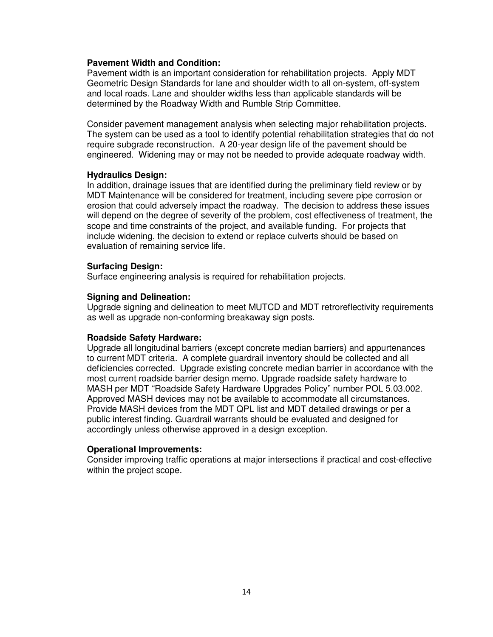#### **Pavement Width and Condition:**

Pavement width is an important consideration for rehabilitation projects. Apply MDT Geometric Design Standards for lane and shoulder width to all on-system, off-system and local roads. Lane and shoulder widths less than applicable standards will be determined by the Roadway Width and Rumble Strip Committee.

Consider pavement management analysis when selecting major rehabilitation projects. The system can be used as a tool to identify potential rehabilitation strategies that do not require subgrade reconstruction. A 20-year design life of the pavement should be engineered. Widening may or may not be needed to provide adequate roadway width.

#### **Hydraulics Design:**

In addition, drainage issues that are identified during the preliminary field review or by MDT Maintenance will be considered for treatment, including severe pipe corrosion or erosion that could adversely impact the roadway. The decision to address these issues will depend on the degree of severity of the problem, cost effectiveness of treatment, the scope and time constraints of the project, and available funding. For projects that include widening, the decision to extend or replace culverts should be based on evaluation of remaining service life.

#### **Surfacing Design:**

Surface engineering analysis is required for rehabilitation projects.

#### **Signing and Delineation:**

Upgrade signing and delineation to meet MUTCD and MDT retroreflectivity requirements as well as upgrade non-conforming breakaway sign posts.

#### **Roadside Safety Hardware:**

Upgrade all longitudinal barriers (except concrete median barriers) and appurtenances to current MDT criteria. A complete guardrail inventory should be collected and all deficiencies corrected. Upgrade existing concrete median barrier in accordance with the most current roadside barrier design memo. Upgrade roadside safety hardware to MASH per MDT "Roadside Safety Hardware Upgrades Policy" number POL 5.03.002. Approved MASH devices may not be available to accommodate all circumstances. Provide MASH devices from the MDT QPL list and MDT detailed drawings or per a public interest finding. Guardrail warrants should be evaluated and designed for accordingly unless otherwise approved in a design exception.

#### **Operational Improvements:**

Consider improving traffic operations at major intersections if practical and cost-effective within the project scope.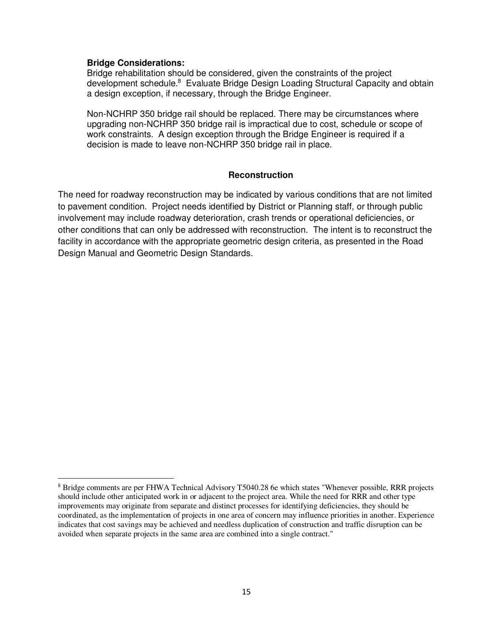#### **Bridge Considerations:**

 $\overline{a}$ 

Bridge rehabilitation should be considered, given the constraints of the project development schedule.<sup>8</sup> Evaluate Bridge Design Loading Structural Capacity and obtain a design exception, if necessary, through the Bridge Engineer.

Non-NCHRP 350 bridge rail should be replaced. There may be circumstances where upgrading non-NCHRP 350 bridge rail is impractical due to cost, schedule or scope of work constraints. A design exception through the Bridge Engineer is required if a decision is made to leave non-NCHRP 350 bridge rail in place.

#### **Reconstruction**

The need for roadway reconstruction may be indicated by various conditions that are not limited to pavement condition. Project needs identified by District or Planning staff, or through public involvement may include roadway deterioration, crash trends or operational deficiencies, or other conditions that can only be addressed with reconstruction. The intent is to reconstruct the facility in accordance with the appropriate geometric design criteria, as presented in the Road Design Manual and Geometric Design Standards.

<sup>&</sup>lt;sup>8</sup> Bridge comments are per FHWA Technical Advisory T5040.28 6e which states "Whenever possible, RRR projects should include other anticipated work in or adjacent to the project area. While the need for RRR and other type improvements may originate from separate and distinct processes for identifying deficiencies, they should be coordinated, as the implementation of projects in one area of concern may influence priorities in another. Experience indicates that cost savings may be achieved and needless duplication of construction and traffic disruption can be avoided when separate projects in the same area are combined into a single contract."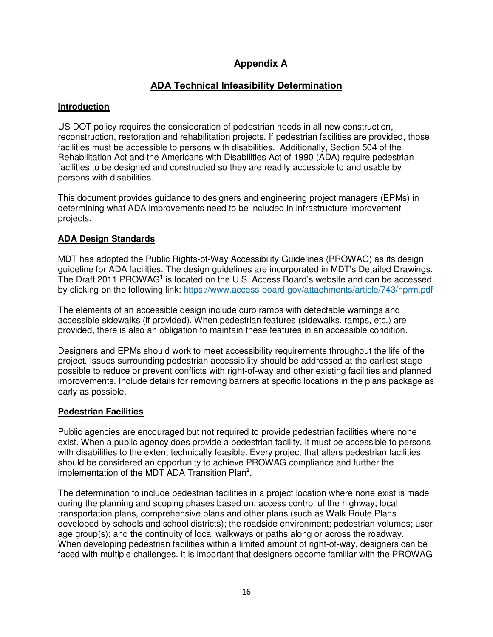# **Appendix A**

# **ADA Technical Infeasibility Determination**

## **Introduction**

US DOT policy requires the consideration of pedestrian needs in all new construction, reconstruction, restoration and rehabilitation projects. If pedestrian facilities are provided, those facilities must be accessible to persons with disabilities. Additionally, Section 504 of the Rehabilitation Act and the Americans with Disabilities Act of 1990 (ADA) require pedestrian facilities to be designed and constructed so they are readily accessible to and usable by persons with disabilities.

This document provides guidance to designers and engineering project managers (EPMs) in determining what ADA improvements need to be included in infrastructure improvement projects.

## **ADA Design Standards**

MDT has adopted the Public Rights-of-Way Accessibility Guidelines (PROWAG) as its design guideline for ADA facilities. The design guidelines are incorporated in MDT's Detailed Drawings. The Draft 2011 PROWAG<sup>1</sup> is located on the U.S. Access Board's website and can be accessed by clicking on the following link: https://www.access-board.gov/attachments/article/743/nprm.pdf

The elements of an accessible design include curb ramps with detectable warnings and accessible sidewalks (if provided). When pedestrian features (sidewalks, ramps, etc.) are provided, there is also an obligation to maintain these features in an accessible condition.

Designers and EPMs should work to meet accessibility requirements throughout the life of the project. Issues surrounding pedestrian accessibility should be addressed at the earliest stage possible to reduce or prevent conflicts with right-of-way and other existing facilities and planned improvements. Include details for removing barriers at specific locations in the plans package as early as possible.

## **Pedestrian Facilities**

Public agencies are encouraged but not required to provide pedestrian facilities where none exist. When a public agency does provide a pedestrian facility, it must be accessible to persons with disabilities to the extent technically feasible. Every project that alters pedestrian facilities should be considered an opportunity to achieve PROWAG compliance and further the implementation of the MDT ADA Transition Plan**<sup>2</sup>** .

The determination to include pedestrian facilities in a project location where none exist is made during the planning and scoping phases based on: access control of the highway; local transportation plans, comprehensive plans and other plans (such as Walk Route Plans developed by schools and school districts); the roadside environment; pedestrian volumes; user age group(s); and the continuity of local walkways or paths along or across the roadway. When developing pedestrian facilities within a limited amount of right-of-way, designers can be faced with multiple challenges. It is important that designers become familiar with the PROWAG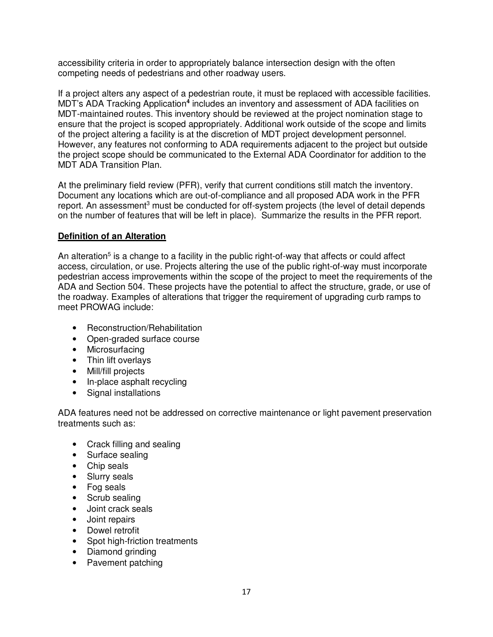accessibility criteria in order to appropriately balance intersection design with the often competing needs of pedestrians and other roadway users.

If a project alters any aspect of a pedestrian route, it must be replaced with accessible facilities. MDT's ADA Tracking Application<sup>4</sup> includes an inventory and assessment of ADA facilities on MDT-maintained routes. This inventory should be reviewed at the project nomination stage to ensure that the project is scoped appropriately. Additional work outside of the scope and limits of the project altering a facility is at the discretion of MDT project development personnel. However, any features not conforming to ADA requirements adjacent to the project but outside the project scope should be communicated to the External ADA Coordinator for addition to the MDT ADA Transition Plan.

At the preliminary field review (PFR), verify that current conditions still match the inventory. Document any locations which are out-of-compliance and all proposed ADA work in the PFR report. An assessment<sup>3</sup> must be conducted for off-system projects (the level of detail depends on the number of features that will be left in place). Summarize the results in the PFR report.

## **Definition of an Alteration**

An alteration<sup>5</sup> is a change to a facility in the public right-of-way that affects or could affect access, circulation, or use. Projects altering the use of the public right-of-way must incorporate pedestrian access improvements within the scope of the project to meet the requirements of the ADA and Section 504. These projects have the potential to affect the structure, grade, or use of the roadway. Examples of alterations that trigger the requirement of upgrading curb ramps to meet PROWAG include:

- Reconstruction/Rehabilitation
- Open-graded surface course
- Microsurfacing
- Thin lift overlays
- Mill/fill projects
- In-place asphalt recycling
- Signal installations

ADA features need not be addressed on corrective maintenance or light pavement preservation treatments such as:

- Crack filling and sealing
- Surface sealing
- Chip seals
- Slurry seals
- Fog seals
- Scrub sealing
- Joint crack seals
- Joint repairs
- Dowel retrofit
- Spot high-friction treatments
- Diamond grinding
- Pavement patching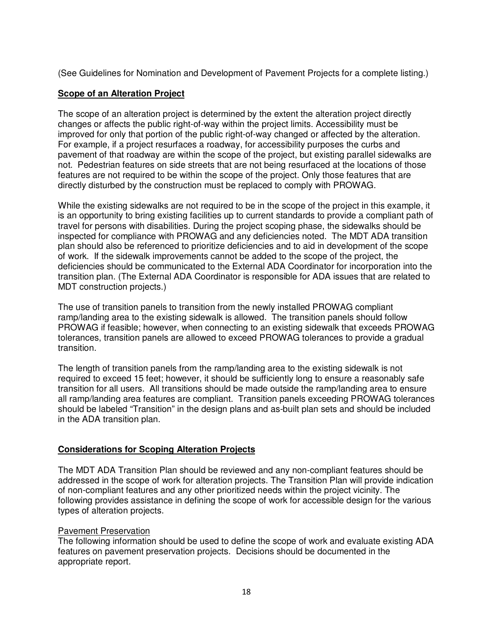(See Guidelines for Nomination and Development of Pavement Projects for a complete listing.)

## **Scope of an Alteration Project**

The scope of an alteration project is determined by the extent the alteration project directly changes or affects the public right-of-way within the project limits. Accessibility must be improved for only that portion of the public right-of-way changed or affected by the alteration. For example, if a project resurfaces a roadway, for accessibility purposes the curbs and pavement of that roadway are within the scope of the project, but existing parallel sidewalks are not. Pedestrian features on side streets that are not being resurfaced at the locations of those features are not required to be within the scope of the project. Only those features that are directly disturbed by the construction must be replaced to comply with PROWAG.

While the existing sidewalks are not required to be in the scope of the project in this example, it is an opportunity to bring existing facilities up to current standards to provide a compliant path of travel for persons with disabilities. During the project scoping phase, the sidewalks should be inspected for compliance with PROWAG and any deficiencies noted. The MDT ADA transition plan should also be referenced to prioritize deficiencies and to aid in development of the scope of work. If the sidewalk improvements cannot be added to the scope of the project, the deficiencies should be communicated to the External ADA Coordinator for incorporation into the transition plan. (The External ADA Coordinator is responsible for ADA issues that are related to MDT construction projects.)

The use of transition panels to transition from the newly installed PROWAG compliant ramp/landing area to the existing sidewalk is allowed. The transition panels should follow PROWAG if feasible; however, when connecting to an existing sidewalk that exceeds PROWAG tolerances, transition panels are allowed to exceed PROWAG tolerances to provide a gradual transition.

The length of transition panels from the ramp/landing area to the existing sidewalk is not required to exceed 15 feet; however, it should be sufficiently long to ensure a reasonably safe transition for all users. All transitions should be made outside the ramp/landing area to ensure all ramp/landing area features are compliant. Transition panels exceeding PROWAG tolerances should be labeled "Transition" in the design plans and as-built plan sets and should be included in the ADA transition plan.

## **Considerations for Scoping Alteration Projects**

The MDT ADA Transition Plan should be reviewed and any non-compliant features should be addressed in the scope of work for alteration projects. The Transition Plan will provide indication of non-compliant features and any other prioritized needs within the project vicinity. The following provides assistance in defining the scope of work for accessible design for the various types of alteration projects.

## Pavement Preservation

The following information should be used to define the scope of work and evaluate existing ADA features on pavement preservation projects. Decisions should be documented in the appropriate report.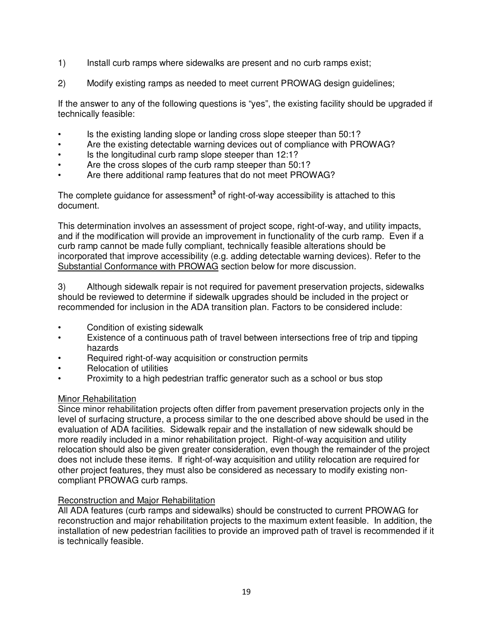- 1) Install curb ramps where sidewalks are present and no curb ramps exist;
- 2) Modify existing ramps as needed to meet current PROWAG design guidelines;

If the answer to any of the following questions is "yes", the existing facility should be upgraded if technically feasible:

- Is the existing landing slope or landing cross slope steeper than 50:1?
- Are the existing detectable warning devices out of compliance with PROWAG?
- Is the longitudinal curb ramp slope steeper than 12:1?
- Are the cross slopes of the curb ramp steeper than 50:1?
- Are there additional ramp features that do not meet PROWAG?

The complete guidance for assessment<sup>3</sup> of right-of-way accessibility is attached to this document.

This determination involves an assessment of project scope, right-of-way, and utility impacts, and if the modification will provide an improvement in functionality of the curb ramp. Even if a curb ramp cannot be made fully compliant, technically feasible alterations should be incorporated that improve accessibility (e.g. adding detectable warning devices). Refer to the Substantial Conformance with PROWAG section below for more discussion.

3) Although sidewalk repair is not required for pavement preservation projects, sidewalks should be reviewed to determine if sidewalk upgrades should be included in the project or recommended for inclusion in the ADA transition plan. Factors to be considered include:

- Condition of existing sidewalk
- Existence of a continuous path of travel between intersections free of trip and tipping hazards
- Required right-of-way acquisition or construction permits
- Relocation of utilities
- Proximity to a high pedestrian traffic generator such as a school or bus stop

## Minor Rehabilitation

Since minor rehabilitation projects often differ from pavement preservation projects only in the level of surfacing structure, a process similar to the one described above should be used in the evaluation of ADA facilities. Sidewalk repair and the installation of new sidewalk should be more readily included in a minor rehabilitation project. Right-of-way acquisition and utility relocation should also be given greater consideration, even though the remainder of the project does not include these items. If right-of-way acquisition and utility relocation are required for other project features, they must also be considered as necessary to modify existing noncompliant PROWAG curb ramps.

## Reconstruction and Major Rehabilitation

All ADA features (curb ramps and sidewalks) should be constructed to current PROWAG for reconstruction and major rehabilitation projects to the maximum extent feasible. In addition, the installation of new pedestrian facilities to provide an improved path of travel is recommended if it is technically feasible.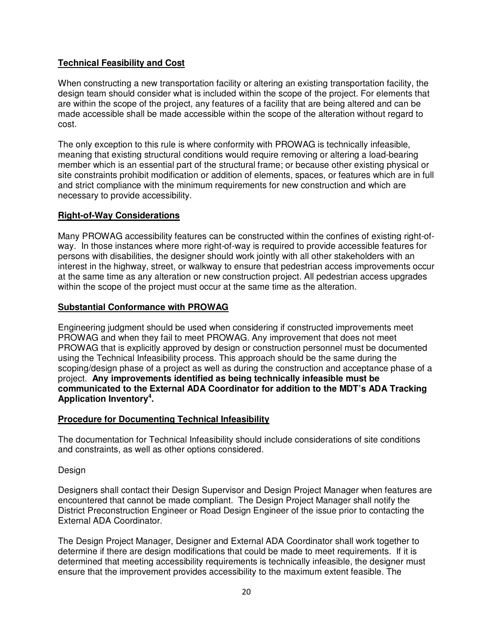## **Technical Feasibility and Cost**

When constructing a new transportation facility or altering an existing transportation facility, the design team should consider what is included within the scope of the project. For elements that are within the scope of the project, any features of a facility that are being altered and can be made accessible shall be made accessible within the scope of the alteration without regard to cost.

The only exception to this rule is where conformity with PROWAG is technically infeasible, meaning that existing structural conditions would require removing or altering a load-bearing member which is an essential part of the structural frame; or because other existing physical or site constraints prohibit modification or addition of elements, spaces, or features which are in full and strict compliance with the minimum requirements for new construction and which are necessary to provide accessibility.

## **Right-of-Way Considerations**

Many PROWAG accessibility features can be constructed within the confines of existing right-ofway. In those instances where more right-of-way is required to provide accessible features for persons with disabilities, the designer should work jointly with all other stakeholders with an interest in the highway, street, or walkway to ensure that pedestrian access improvements occur at the same time as any alteration or new construction project. All pedestrian access upgrades within the scope of the project must occur at the same time as the alteration.

## **Substantial Conformance with PROWAG**

Engineering judgment should be used when considering if constructed improvements meet PROWAG and when they fail to meet PROWAG. Any improvement that does not meet PROWAG that is explicitly approved by design or construction personnel must be documented using the Technical Infeasibility process. This approach should be the same during the scoping/design phase of a project as well as during the construction and acceptance phase of a project. **Any improvements identified as being technically infeasible must be communicated to the External ADA Coordinator for addition to the MDT's ADA Tracking Application Inventory<sup>4</sup> .**

## **Procedure for Documenting Technical Infeasibility**

The documentation for Technical Infeasibility should include considerations of site conditions and constraints, as well as other options considered.

## Design

Designers shall contact their Design Supervisor and Design Project Manager when features are encountered that cannot be made compliant. The Design Project Manager shall notify the District Preconstruction Engineer or Road Design Engineer of the issue prior to contacting the External ADA Coordinator.

The Design Project Manager, Designer and External ADA Coordinator shall work together to determine if there are design modifications that could be made to meet requirements. If it is determined that meeting accessibility requirements is technically infeasible, the designer must ensure that the improvement provides accessibility to the maximum extent feasible. The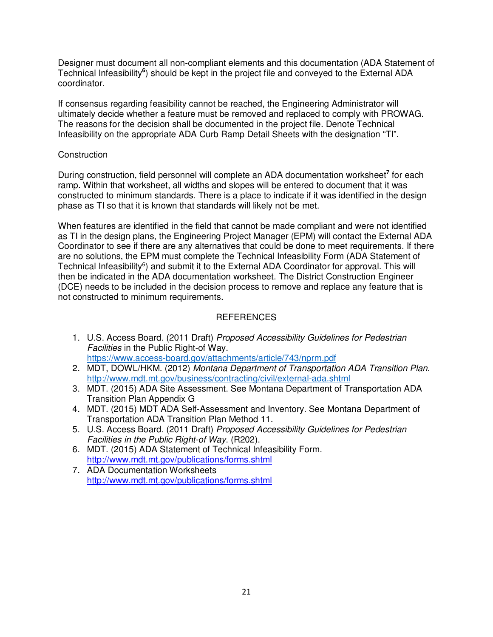Designer must document all non-compliant elements and this documentation (ADA Statement of Technical Infeasibility<sup>6</sup>) should be kept in the project file and conveyed to the External ADA coordinator.

If consensus regarding feasibility cannot be reached, the Engineering Administrator will ultimately decide whether a feature must be removed and replaced to comply with PROWAG. The reasons for the decision shall be documented in the project file. Denote Technical Infeasibility on the appropriate ADA Curb Ramp Detail Sheets with the designation "TI".

## **Construction**

During construction, field personnel will complete an ADA documentation worksheet**<sup>7</sup>** for each ramp. Within that worksheet, all widths and slopes will be entered to document that it was constructed to minimum standards. There is a place to indicate if it was identified in the design phase as TI so that it is known that standards will likely not be met.

When features are identified in the field that cannot be made compliant and were not identified as TI in the design plans, the Engineering Project Manager (EPM) will contact the External ADA Coordinator to see if there are any alternatives that could be done to meet requirements. If there are no solutions, the EPM must complete the Technical Infeasibility Form (ADA Statement of Technical Infeasibility<sup>6</sup>) and submit it to the External ADA Coordinator for approval. This will then be indicated in the ADA documentation worksheet. The District Construction Engineer (DCE) needs to be included in the decision process to remove and replace any feature that is not constructed to minimum requirements.

## REFERENCES

- 1. U.S. Access Board. (2011 Draft) Proposed Accessibility Guidelines for Pedestrian Facilities in the Public Right-of Way. https://www.access-board.gov/attachments/article/743/nprm.pdf
- 2. MDT, DOWL/HKM. (2012) Montana Department of Transportation ADA Transition Plan. http://www.mdt.mt.gov/business/contracting/civil/external-ada.shtml
- 3. MDT. (2015) ADA Site Assessment. See Montana Department of Transportation ADA Transition Plan Appendix G
- 4. MDT. (2015) MDT ADA Self-Assessment and Inventory. See Montana Department of Transportation ADA Transition Plan Method 11.
- 5. U.S. Access Board. (2011 Draft) Proposed Accessibility Guidelines for Pedestrian Facilities in the Public Right-of Way. (R202).
- 6. MDT. (2015) ADA Statement of Technical Infeasibility Form. http://www.mdt.mt.gov/publications/forms.shtml
- 7. ADA Documentation Worksheets http://www.mdt.mt.gov/publications/forms.shtml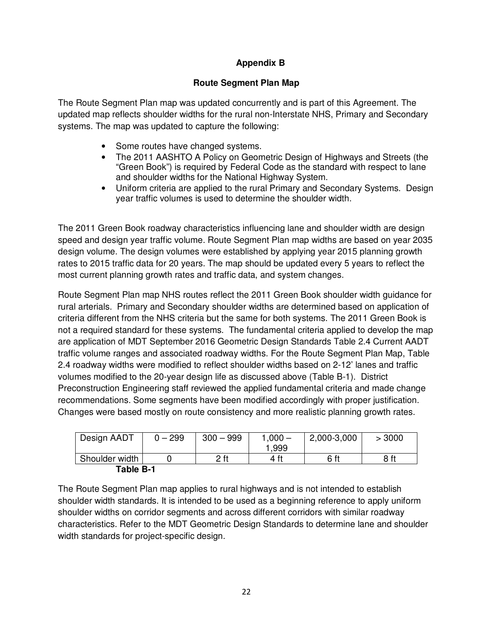## **Appendix B**

## **Route Segment Plan Map**

The Route Segment Plan map was updated concurrently and is part of this Agreement. The updated map reflects shoulder widths for the rural non-Interstate NHS, Primary and Secondary systems. The map was updated to capture the following:

- Some routes have changed systems.
- The 2011 AASHTO A Policy on Geometric Design of Highways and Streets (the "Green Book") is required by Federal Code as the standard with respect to lane and shoulder widths for the National Highway System.
- Uniform criteria are applied to the rural Primary and Secondary Systems. Design year traffic volumes is used to determine the shoulder width.

The 2011 Green Book roadway characteristics influencing lane and shoulder width are design speed and design year traffic volume. Route Segment Plan map widths are based on year 2035 design volume. The design volumes were established by applying year 2015 planning growth rates to 2015 traffic data for 20 years. The map should be updated every 5 years to reflect the most current planning growth rates and traffic data, and system changes.

Route Segment Plan map NHS routes reflect the 2011 Green Book shoulder width guidance for rural arterials. Primary and Secondary shoulder widths are determined based on application of criteria different from the NHS criteria but the same for both systems. The 2011 Green Book is not a required standard for these systems. The fundamental criteria applied to develop the map are application of MDT September 2016 Geometric Design Standards Table 2.4 Current AADT traffic volume ranges and associated roadway widths. For the Route Segment Plan Map, Table 2.4 roadway widths were modified to reflect shoulder widths based on 2-12' lanes and traffic volumes modified to the 20-year design life as discussed above (Table B-1). District Preconstruction Engineering staff reviewed the applied fundamental criteria and made change recommendations. Some segments have been modified accordingly with proper justification. Changes were based mostly on route consistency and more realistic planning growth rates.

| Design AADT    | $0 - 299$ | $300 - 999$ | $1,000 -$<br>1.999 | 2,000-3,000 | > 3000 |
|----------------|-----------|-------------|--------------------|-------------|--------|
| Shoulder width |           | 2 ft        | 4 ft               | 6 ft        | 8 ft   |
| Table B-1      |           |             |                    |             |        |

The Route Segment Plan map applies to rural highways and is not intended to establish shoulder width standards. It is intended to be used as a beginning reference to apply uniform shoulder widths on corridor segments and across different corridors with similar roadway characteristics. Refer to the MDT Geometric Design Standards to determine lane and shoulder width standards for project-specific design.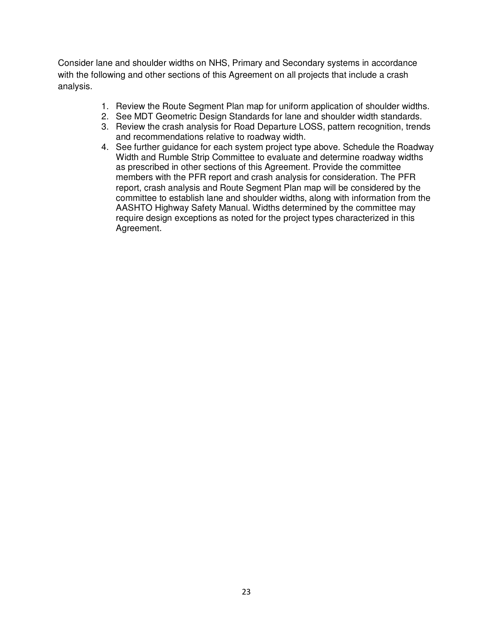Consider lane and shoulder widths on NHS, Primary and Secondary systems in accordance with the following and other sections of this Agreement on all projects that include a crash analysis.

- 1. Review the Route Segment Plan map for uniform application of shoulder widths.
- 2. See MDT Geometric Design Standards for lane and shoulder width standards.
- 3. Review the crash analysis for Road Departure LOSS, pattern recognition, trends and recommendations relative to roadway width.
- 4. See further guidance for each system project type above. Schedule the Roadway Width and Rumble Strip Committee to evaluate and determine roadway widths as prescribed in other sections of this Agreement. Provide the committee members with the PFR report and crash analysis for consideration. The PFR report, crash analysis and Route Segment Plan map will be considered by the committee to establish lane and shoulder widths, along with information from the AASHTO Highway Safety Manual. Widths determined by the committee may require design exceptions as noted for the project types characterized in this Agreement.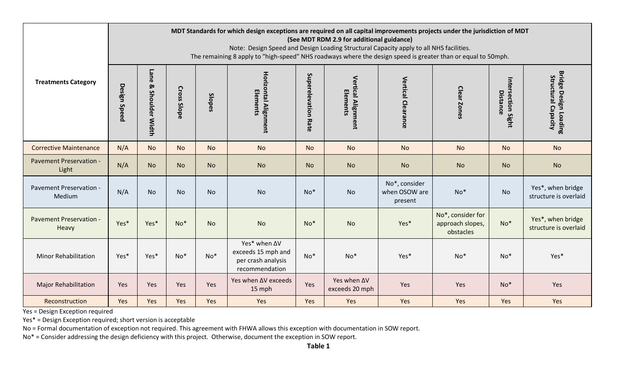|                                   |              | MDT Standards for which design exceptions are required on all capital improvements projects under the jurisdiction of MDT<br>(See MDT RDM 2.9 for additional guidance)<br>Note: Design Speed and Design Loading Structural Capacity apply to all NHS facilities.<br>The remaining 8 apply to "high-speed" NHS roadways where the design speed is greater than or equal to 50mph. |                              |           |                                                                            |                        |                                |                                           |                                                    |                                |                                                     |  |  |
|-----------------------------------|--------------|----------------------------------------------------------------------------------------------------------------------------------------------------------------------------------------------------------------------------------------------------------------------------------------------------------------------------------------------------------------------------------|------------------------------|-----------|----------------------------------------------------------------------------|------------------------|--------------------------------|-------------------------------------------|----------------------------------------------------|--------------------------------|-----------------------------------------------------|--|--|
| <b>Treatments Category</b>        | Design Speed | Lane<br>۵<br><b>Shoulder Width</b>                                                                                                                                                                                                                                                                                                                                               | <b>Cross</b><br><b>Slope</b> | Slopes    | <b>Horizontal Alignment</b><br>Elements                                    | Superelevation<br>Rate | Vertical Alignment<br>Elements | <b>Vertical Clearance</b>                 | Clear Zones                                        | Intersection Sight<br>Distance | <b>Bridge Design Loading</b><br>Structural Capacity |  |  |
| <b>Corrective Maintenance</b>     | N/A          | <b>No</b>                                                                                                                                                                                                                                                                                                                                                                        | <b>No</b>                    | <b>No</b> | <b>No</b>                                                                  | <b>No</b>              | <b>No</b>                      | <b>No</b>                                 | <b>No</b>                                          | <b>No</b>                      | <b>No</b>                                           |  |  |
| Pavement Preservation -<br>Light  | N/A          | <b>No</b>                                                                                                                                                                                                                                                                                                                                                                        | <b>No</b>                    | <b>No</b> | <b>No</b>                                                                  | <b>No</b>              | <b>No</b>                      | <b>No</b>                                 | <b>No</b>                                          | <b>No</b>                      | <b>No</b>                                           |  |  |
| Pavement Preservation -<br>Medium | N/A          | <b>No</b>                                                                                                                                                                                                                                                                                                                                                                        | <b>No</b>                    | <b>No</b> | <b>No</b>                                                                  | $No*$                  | <b>No</b>                      | No*, consider<br>when OSOW are<br>present | $No*$                                              | <b>No</b>                      | Yes*, when bridge<br>structure is overlaid          |  |  |
| Pavement Preservation -<br>Heavy  | Yes*         | Yes*                                                                                                                                                                                                                                                                                                                                                                             | $No*$                        | <b>No</b> | <b>No</b>                                                                  | $No*$                  | <b>No</b>                      | Yes*                                      | No*, consider for<br>approach slopes,<br>obstacles | $No*$                          | Yes*, when bridge<br>structure is overlaid          |  |  |
| <b>Minor Rehabilitation</b>       | Yes*         | Yes*                                                                                                                                                                                                                                                                                                                                                                             | $No*$                        | $No*$     | Yes* when ∆V<br>exceeds 15 mph and<br>per crash analysis<br>recommendation | $No*$                  | $No*$                          | Yes*                                      | $No*$                                              | $No*$                          | Yes*                                                |  |  |
| <b>Major Rehabilitation</b>       | Yes          | Yes                                                                                                                                                                                                                                                                                                                                                                              | Yes                          | Yes       | Yes when ΔV exceeds<br>15 mph                                              | Yes                    | Yes when AV<br>exceeds 20 mph  | Yes                                       | Yes                                                | $No*$                          | Yes                                                 |  |  |
| Reconstruction                    | Yes          | Yes                                                                                                                                                                                                                                                                                                                                                                              | Yes                          | Yes       | Yes                                                                        | Yes                    | Yes                            | Yes                                       | Yes                                                | Yes                            | Yes                                                 |  |  |

Yes = Design Exception required

Yes\* = Design Exception required; short version is acceptable

No = Formal documentation of exception not required. This agreement with FHWA allows this exception with documentation in SOW report.

No\* = Consider addressing the design deficiency with this project. Otherwise, document the exception in SOW report.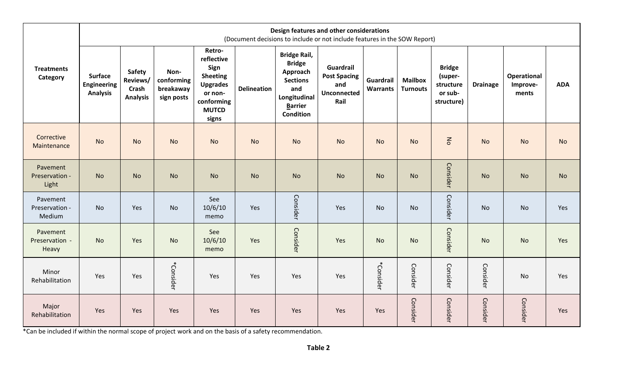|                                      |                                                         | Design features and other considerations<br>(Document decisions to include or not include features in the SOW Report) |                                               |                                                                                                                      |                    |                                                                                                                                  |                                                                |                              |                                   |                                                                |                 |                                         |            |
|--------------------------------------|---------------------------------------------------------|-----------------------------------------------------------------------------------------------------------------------|-----------------------------------------------|----------------------------------------------------------------------------------------------------------------------|--------------------|----------------------------------------------------------------------------------------------------------------------------------|----------------------------------------------------------------|------------------------------|-----------------------------------|----------------------------------------------------------------|-----------------|-----------------------------------------|------------|
| <b>Treatments</b><br>Category        | <b>Surface</b><br><b>Engineering</b><br><b>Analysis</b> | <b>Safety</b><br>Reviews/<br>Crash<br><b>Analysis</b>                                                                 | Non-<br>conforming<br>breakaway<br>sign posts | Retro-<br>reflective<br>Sign<br><b>Sheeting</b><br><b>Upgrades</b><br>or non-<br>conforming<br><b>MUTCD</b><br>signs | <b>Delineation</b> | <b>Bridge Rail,</b><br><b>Bridge</b><br>Approach<br><b>Sections</b><br>and<br>Longitudinal<br><b>Barrier</b><br><b>Condition</b> | Guardrail<br><b>Post Spacing</b><br>and<br>Unconnected<br>Rail | Guardrail<br><b>Warrants</b> | <b>Mailbox</b><br><b>Turnouts</b> | <b>Bridge</b><br>(super-<br>structure<br>or sub-<br>structure) | <b>Drainage</b> | <b>Operational</b><br>Improve-<br>ments | <b>ADA</b> |
| Corrective<br>Maintenance            | <b>No</b>                                               | <b>No</b>                                                                                                             | <b>No</b>                                     | <b>No</b>                                                                                                            | <b>No</b>          | <b>No</b>                                                                                                                        | <b>No</b>                                                      | <b>No</b>                    | <b>No</b>                         | $\mathsf{S}$                                                   | <b>No</b>       | <b>No</b>                               | <b>No</b>  |
| Pavement<br>Preservation -<br>Light  | <b>No</b>                                               | <b>No</b>                                                                                                             | <b>No</b>                                     | <b>No</b>                                                                                                            | <b>No</b>          | <b>No</b>                                                                                                                        | <b>No</b>                                                      | <b>No</b>                    | <b>No</b>                         | Consider                                                       | <b>No</b>       | <b>No</b>                               | <b>No</b>  |
| Pavement<br>Preservation -<br>Medium | <b>No</b>                                               | Yes                                                                                                                   | <b>No</b>                                     | See<br>10/6/10<br>memo                                                                                               | Yes                | Consider                                                                                                                         | Yes                                                            | <b>No</b>                    | <b>No</b>                         | Consider                                                       | <b>No</b>       | <b>No</b>                               | Yes        |
| Pavement<br>Preservation -<br>Heavy  | <b>No</b>                                               | Yes                                                                                                                   | <b>No</b>                                     | See<br>10/6/10<br>memo                                                                                               | Yes                | Consider                                                                                                                         | Yes                                                            | <b>No</b>                    | <b>No</b>                         | Consider                                                       | <b>No</b>       | <b>No</b>                               | Yes        |
| Minor<br>Rehabilitation              | Yes                                                     | Yes                                                                                                                   | *Consider                                     | Yes                                                                                                                  | Yes                | Yes                                                                                                                              | Yes                                                            | *Consider                    | Consider                          | Consider                                                       | Consider        | <b>No</b>                               | Yes        |
| Major<br>Rehabilitation              | Yes                                                     | Yes                                                                                                                   | Yes                                           | Yes                                                                                                                  | Yes                | Yes                                                                                                                              | Yes                                                            | Yes                          | Consider                          | Consider                                                       | Consider        | Consider                                | Yes        |

\*Can be included if within the normal scope of project work and on the basis of a safety recommendation.